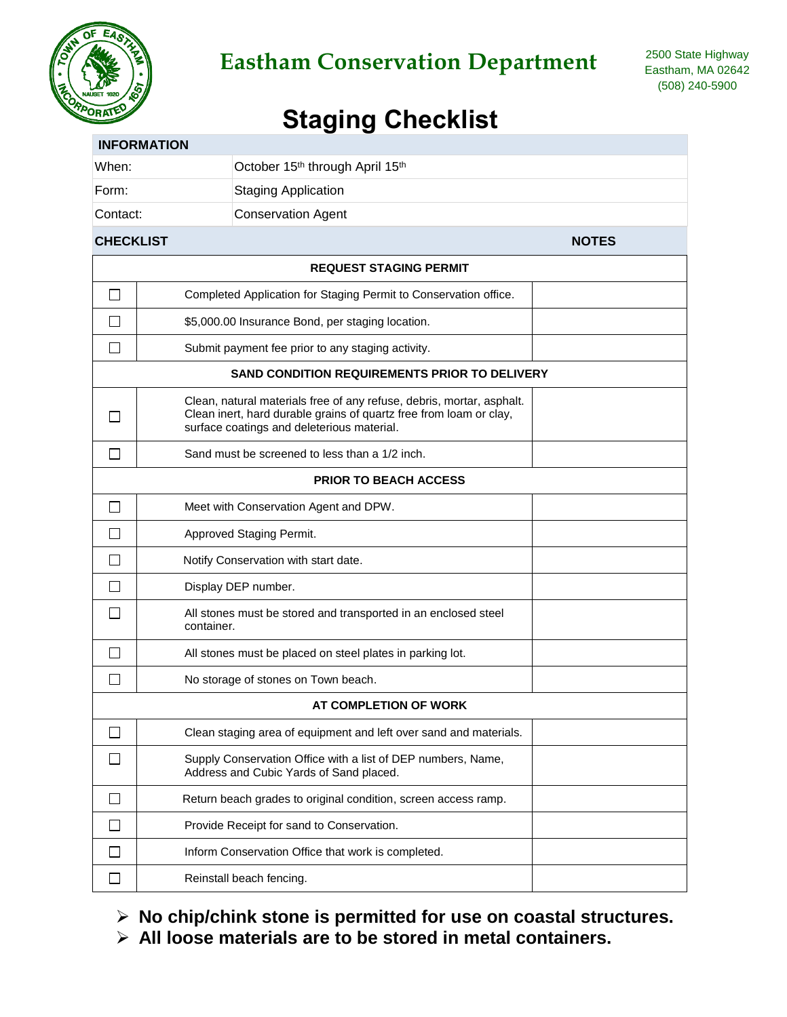

## Eastham Conservation Department <sup>2500 State Highway</sup>

## **Staging Checklist**

|                  | <b>INFORMATION</b>                                                                                                                                                                        |              |  |  |
|------------------|-------------------------------------------------------------------------------------------------------------------------------------------------------------------------------------------|--------------|--|--|
| When:            | October 15th through April 15th                                                                                                                                                           |              |  |  |
| Form:            | <b>Staging Application</b>                                                                                                                                                                |              |  |  |
| Contact:         | <b>Conservation Agent</b>                                                                                                                                                                 |              |  |  |
| <b>CHECKLIST</b> |                                                                                                                                                                                           | <b>NOTES</b> |  |  |
|                  | <b>REQUEST STAGING PERMIT</b>                                                                                                                                                             |              |  |  |
| $\Box$           | Completed Application for Staging Permit to Conservation office.                                                                                                                          |              |  |  |
|                  | \$5,000.00 Insurance Bond, per staging location.                                                                                                                                          |              |  |  |
|                  | Submit payment fee prior to any staging activity.                                                                                                                                         |              |  |  |
|                  | SAND CONDITION REQUIREMENTS PRIOR TO DELIVERY                                                                                                                                             |              |  |  |
|                  | Clean, natural materials free of any refuse, debris, mortar, asphalt.<br>Clean inert, hard durable grains of quartz free from loam or clay,<br>surface coatings and deleterious material. |              |  |  |
| $\mathbf{I}$     | Sand must be screened to less than a 1/2 inch.                                                                                                                                            |              |  |  |
|                  | <b>PRIOR TO BEACH ACCESS</b>                                                                                                                                                              |              |  |  |
| $\Box$           | Meet with Conservation Agent and DPW.                                                                                                                                                     |              |  |  |
|                  | Approved Staging Permit.                                                                                                                                                                  |              |  |  |
|                  | Notify Conservation with start date.                                                                                                                                                      |              |  |  |
|                  | Display DEP number.                                                                                                                                                                       |              |  |  |
|                  | All stones must be stored and transported in an enclosed steel<br>container.                                                                                                              |              |  |  |
| $\mathsf{L}$     | All stones must be placed on steel plates in parking lot.                                                                                                                                 |              |  |  |
|                  | No storage of stones on Town beach.                                                                                                                                                       |              |  |  |
|                  | AT COMPLETION OF WORK                                                                                                                                                                     |              |  |  |
|                  | Clean staging area of equipment and left over sand and materials.                                                                                                                         |              |  |  |
|                  | Supply Conservation Office with a list of DEP numbers, Name,<br>Address and Cubic Yards of Sand placed.                                                                                   |              |  |  |
| $\mathsf{L}$     | Return beach grades to original condition, screen access ramp.                                                                                                                            |              |  |  |
|                  | Provide Receipt for sand to Conservation.                                                                                                                                                 |              |  |  |
|                  | Inform Conservation Office that work is completed.                                                                                                                                        |              |  |  |
|                  | Reinstall beach fencing.                                                                                                                                                                  |              |  |  |
|                  |                                                                                                                                                                                           |              |  |  |

- **No chip/chink stone is permitted for use on coastal structures.**
- **All loose materials are to be stored in metal containers.**